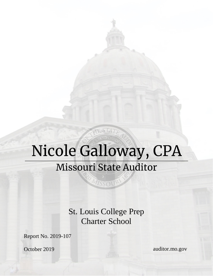# Nicole Galloway, CPA **Missouri State Auditor**

MISSOUR

JE STATE

St. Louis College Prep Charter School

Report No. 2019-107

October 2019

auditor.mo.gov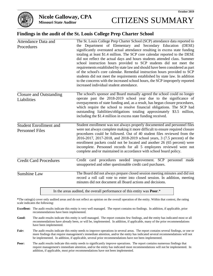

## **Findings in the audit of the St. Louis College Prep Charter School**

| <b>Attendance Data and</b><br>Procedures                | The St. Louis College Prep Charter School (SCP) attendance data reported to<br>the Department of Elementary and Secondary Education (DESE)<br>significantly overstated actual attendance resulting in excess state funding<br>totaling at least \$1.4 million. The SCP core calendar reported to the DESE<br>did not reflect the actual days and hours students attended class. Summer<br>school instruction hours provided to SCP students did not meet the<br>requirements established by state law and should have been considered as part<br>of the school's core calendar. Remedial instruction hours provided to SCP<br>students did not meet the requirements established by state law. In addition<br>to the concerns with the increased school hours, the SCP improperly reported<br>increased individual student attendance. |
|---------------------------------------------------------|----------------------------------------------------------------------------------------------------------------------------------------------------------------------------------------------------------------------------------------------------------------------------------------------------------------------------------------------------------------------------------------------------------------------------------------------------------------------------------------------------------------------------------------------------------------------------------------------------------------------------------------------------------------------------------------------------------------------------------------------------------------------------------------------------------------------------------------|
| <b>Closure and Outstanding</b><br>Liabilities           | The school's sponsor and Board mutually agreed the school could no longer<br>operate past the 2018-2019 school year due to the significance of<br>overpayments of state funding and, as a result, has begun closure procedures,<br>which require the school to resolve financial obligations. The SCP had<br>outstanding liabilities/obligations totaling approximately \$3.5 million,<br>including the \$1.4 million in excess state funding received.                                                                                                                                                                                                                                                                                                                                                                                |
| <b>Student Enrollment and</b><br><b>Personnel Files</b> | Student enrollment was not always properly documented and personnel files<br>were not always complete making it more difficult to ensure required closure<br>procedures could be followed. Out of 40 student files reviewed from the<br>2016-2017, 2017-2018, and 2018-2019 school years, 3 (7.5 percent) of the<br>enrollment packets could not be located and another 26 (65 percent) were<br>incomplete. Personnel records for all 5 employees reviewed were not<br>complete and/or maintained in accordance with school board policy.                                                                                                                                                                                                                                                                                              |
| <b>Credit Card Procedures</b>                           | Credit card procedures needed improvement. SCP personnel made<br>unsupported and other questionable credit card purchases.                                                                                                                                                                                                                                                                                                                                                                                                                                                                                                                                                                                                                                                                                                             |
| <b>Sunshine Law</b>                                     | The Board did not always prepare closed session meeting minutes and did not<br>record a roll call vote to enter into closed session. In addition, meeting<br>minutes did not document all Board actions and decisions.                                                                                                                                                                                                                                                                                                                                                                                                                                                                                                                                                                                                                 |

In the areas audited, the overall performance of this entity was **Poor**.\*

**\***The rating(s) cover only audited areas and do not reflect an opinion on the overall operation of the entity. Within that context, the rating scale indicates the following:

- **Excellent:** The audit results indicate this entity is very well managed. The report contains no findings. In addition, if applicable, prior recommendations have been implemented.
- **Good:** The audit results indicate this entity is well managed. The report contains few findings, and the entity has indicated most or all recommendations have already been, or will be, implemented. In addition, if applicable, many of the prior recommendations have been implemented.
- Fair: The audit results indicate this entity needs to improve operations in several areas. The report contains several findings, or one or more findings that require management's immediate attention, and/or the entity has indicated several recommendations will not be implemented. In addition, if applicable, several prior recommendations have not been implemented.
- **Poor:** The audit results indicate this entity needs to significantly improve operations. The report contains numerous findings that require management's immediate attention, and/or the entity has indicated most recommendations will not be implemented. In addition, if applicable, most prior recommendations have not been implemented.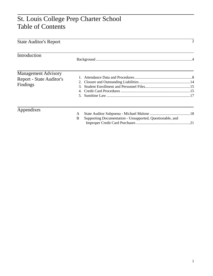# St. Louis College Prep Charter School Table of Contents

| <b>State Auditor's Report</b>                                      |                                                                     | 2 |
|--------------------------------------------------------------------|---------------------------------------------------------------------|---|
| Introduction                                                       |                                                                     |   |
| <b>Management Advisory</b><br>Report - State Auditor's<br>Findings |                                                                     |   |
| Appendixes                                                         | A<br>Supporting Documentation - Unsupported, Questionable, and<br>B |   |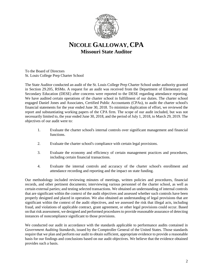

# **NICOLE GALLOWAY, CPA Missouri State Auditor**

To the Board of Directors St. Louis College Prep Charter School

The State Auditor conducted an audit of the St. Louis College Prep Charter School under authority granted in Section 29.205, RSMo. A request for an audit was received from the Department of Elementary and Secondary Education (DESE) after concerns were reported to the DESE regarding attendance reporting. We have audited certain operations of the charter school in fulfillment of our duties. The charter school engaged Daniel Jones and Associates, Certified Public Accountants (CPAs), to audit the charter school's financial statements for the year ended June 30, 2018. To minimize duplication of effort, we reviewed the report and substantiating working papers of the CPA firm. The scope of our audit included, but was not necessarily limited to, the year ended June 30, 2018, and the period of July 1, 2018, to March 29, 2019. The objectives of our audit were to:

- 1. Evaluate the charter school's internal controls over significant management and financial functions.
- 2. Evaluate the charter school's compliance with certain legal provisions.
- 3. Evaluate the economy and efficiency of certain management practices and procedures, including certain financial transactions.
- 4. Evaluate the internal controls and accuracy of the charter school's enrollment and attendance recording and reporting and the impact on state funding.

Our methodology included reviewing minutes of meetings, written policies and procedures, financial records, and other pertinent documents; interviewing various personnel of the charter school, as well as certain external parties; and testing selected transactions. We obtained an understanding of internal controls that are significant within the context of the audit objectives and assessed whether such controls have been properly designed and placed in operation. We also obtained an understanding of legal provisions that are significant within the context of the audit objectives, and we assessed the risk that illegal acts, including fraud, and violations of applicable contract, grant agreement, or other legal provisions could occur. Based on that risk assessment, we designed and performed procedures to provide reasonable assurance of detecting instances of noncompliance significant to those provisions.

We conducted our audit in accordance with the standards applicable to performance audits contained in *Government Auditing Standards*, issued by the Comptroller General of the United States. Those standards require that we plan and perform our audit to obtain sufficient, appropriate evidence to provide a reasonable basis for our findings and conclusions based on our audit objectives. We believe that the evidence obtained provides such a basis.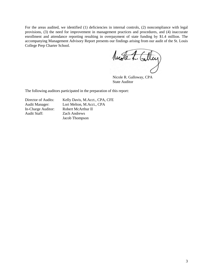For the areas audited, we identified (1) deficiencies in internal controls, (2) noncompliance with legal provisions, (3) the need for improvement in management practices and procedures, and (4) inaccurate enrollment and attendance reporting resulting in overpayment of state funding by \$1.4 million. The accompanying Management Advisory Report presents our findings arising from our audit of the St. Louis College Prep Charter School.

Motel. Calley

Nicole R. Galloway, CPA State Auditor

The following auditors participated in the preparation of this report:

Audit Staff: Zach Andrews

Director of Audits: Kelly Davis, M.Acct., CPA, CFE Audit Manager: Lori Melton, M.Acct., CPA In-Charge Auditor: Robert McArthur II Jacob Thompson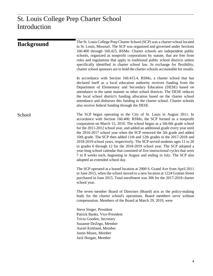| <b>Background</b> | The St. Louis College Prep Charter School (SCP) was a charter school located<br>in St. Louis, Missouri. The SCP was organized and governed under Sections<br>160.400 through 160.425, RSMo. Charter schools are independent public<br>schools, organized as nonprofit corporations by statute, that are free from<br>rules and regulations that apply to traditional public school districts unless<br>specifically identified in charter school law. In exchange for flexibility,<br>charter school sponsors are to hold the charter schools accountable for results.                                                                                                                                                                                                                                                     |
|-------------------|----------------------------------------------------------------------------------------------------------------------------------------------------------------------------------------------------------------------------------------------------------------------------------------------------------------------------------------------------------------------------------------------------------------------------------------------------------------------------------------------------------------------------------------------------------------------------------------------------------------------------------------------------------------------------------------------------------------------------------------------------------------------------------------------------------------------------|
|                   | In accordance with Section 160.415.4, RSMo, a charter school that has<br>declared itself as a local education authority receives funding from the<br>Department of Elementary and Secondary Education (DESE) based on<br>attendance in the same manner as other school districts. The DESE reduces<br>the local school district's funding allocation based on the charter school<br>attendance and disburses this funding to the charter school. Charter schools<br>also receive federal funding through the DESE.                                                                                                                                                                                                                                                                                                         |
| School            | The SCP began operating in the City of St. Louis in August 2011. In<br>accordance with Section 160.400, RSMo, the SCP formed as a nonprofit<br>corporation on March 15, 2010. The school began as a 5th-6th grade school<br>for the 2011-2012 school year, and added an additional grade every year until<br>the 2016-2017 school year when the SCP removed the 5th grade and added<br>10th grade. The SCP then added 11th and 12th grades in the 2017-2018 and<br>2018-2019 school years, respectively. The SCP served students ages 11 to 20<br>in grades 6 through 12 for the 2018-2019 school year. The SCP adopted a<br>year-long school calendar that consisted of five instructional cycles that were<br>7 to 8 weeks each, beginning in August and ending in July. The SCP also<br>adopted an extended school day. |
|                   | The SCP operated at a leased location at 2900 S. Grand Ave from April 2011<br>to June 2015, when the school moved to a new location at 1224 Grattan Street<br>purchased in June 2015. Total enrollment was 306 for the 2017-2018 charter<br>school year.                                                                                                                                                                                                                                                                                                                                                                                                                                                                                                                                                                   |
|                   | The seven member Board of Directors (Board) acts as the policy-making<br>body for the charter school's operations. Board members serve without<br>compensation. Members of the Board at March 29, 2019, were                                                                                                                                                                                                                                                                                                                                                                                                                                                                                                                                                                                                               |
|                   | Steve Singer, President<br>Patrick Banks, Vice-President<br>Tricia Gooden, Secretary<br>Suzanne DeZego, Member<br>Auriel Kirkland, Member<br>Justin Moses, Member<br>Jack Horgan, Member                                                                                                                                                                                                                                                                                                                                                                                                                                                                                                                                                                                                                                   |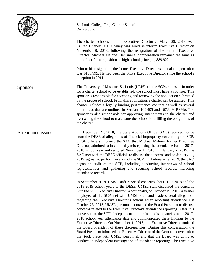

### St. Louis College Prep Charter School Background

The charter school's interim Executive Director at March 29, 2019, was Lauren Chaney. Ms. Chaney was hired as interim Executive Director on November 8, 2018, following the resignation of the former Executive Director, Michael Malone. Her annual compensation remained the same as that of her former position as high school principal, \$89,922.

Prior to his resignation, the former Executive Director's annual compensation was \$100,999. He had been the SCP's Executive Director since the school's inception in 2011.

The University of Missouri-St. Louis (UMSL) is the SCP's sponsor. In order for a charter school to be established, the school must have a sponsor. This sponsor is responsible for accepting and reviewing the application submitted by the proposed school. From this application, a charter can be granted. This charter includes a legally binding performance contract as well as several other areas that are outlined in Sections 160.405 and 167.349, RSMo. The sponsor is also responsible for approving amendments to the charter and overseeing the school to make sure the school is fulfilling the obligations of the charter. Sponsor

On December 21, 2018, the State Auditor's Office (SAO) received notice from the DESE of allegations of financial impropriety concerning the SCP. DESE officials informed the SAO that Michael Malone, former Executive Director, admitted to intentionally misreporting the attendance for the 2017- 2018 school year and resigned November 1, 2018. On January 7, 2019, the SAO met with the DESE officials to discuss the concerns and on January 11, 2019, agreed to perform an audit of the SCP. On February 19, 2019, the SAO began an audit of the SCP, including conducting interviews of school representatives and gathering and securing school records, including attendance records. Attendance issues

> In September 2018, UMSL staff reported concerns about 2017-2018 and the 2018-2019 school years to the DESE. UMSL staff discussed the concerns with the SCP Executive Director. Additionally, on October 19, 2018, a former employee of the SCP met with UMSL staff and made several allegations regarding the Executive Director's actions when reporting attendance. On October 23, 2018, UMSL personnel contacted the Board President to discuss concerns related to the Executive Director's attendance reporting. After this conversation, the SCP's independent auditor found discrepancies in the 2017- 2018 school year attendance data and communicated these findings to the Executive Director. On November 1, 2018, the Executive Director notified the Board President of these discrepancies. During this conversation the Board President informed the Executive Director of the October conversation that took place with UMSL personnel, and that the Board was going to conduct an independent investigation of attendance reporting. The Executive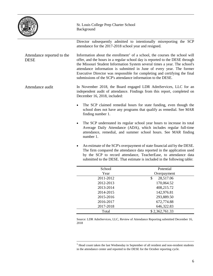

St. Louis College Prep Charter School Background

Director subsequently admitted to intentionally misreporting the SCP attendance for the 2017-2018 school year and resigned.

Information about the enrollment<sup>[1](#page-7-0)</sup> of a school, the courses the school will offer, and the hours in a regular school day is reported to the DESE through the Missouri Student Information System several times a year. The school's attendance information is submitted in June of every year. The former Executive Director was responsible for completing and certifying the final submissions of the SCP's attendance information to the DESE. Attendance reported to the DESE

- In November 2018, the Board engaged LDR AdmServices, LLC for an independent audit of attendance. Findings from this report, completed on December 16, 2018, included: Attendance audit
	- The SCP claimed remedial hours for state funding, even though the school does not have any programs that qualify as remedial. See MAR finding number 1.
	- The SCP understated its regular school year hours to increase its total Average Daily Attendance (ADA), which includes regular full-time attendance, remedial, and summer school hours. See MAR finding number 1.
	- An estimate of the SCP's overpayment of state financial aid by the DESE. The firm compared the attendance data reported in the application used by the SCP to record attendance, TeacherEase, to attendance data submitted to the DESE. That estimate is included in the following table:

| School    | Potential       |
|-----------|-----------------|
| Year      | Overpayment     |
| 2011-2012 | 28,517.06<br>\$ |
| 2012-2013 | 170,064.52      |
| 2013-2014 | 408,215.72      |
| 2014-2015 | 142,976.81      |
| 2015-2016 | 293,889.50      |
| 2016-2017 | 672,774.88      |
| 2017-2018 | 646,322.83      |
| Total     | \$2,362,761.33  |

Source: LDR AdmServices, LLC, Review of Attendance Reporting submitted December 16, 2018

<span id="page-7-0"></span> $1$  Head count taken the last Wednesday in September of all resident and non-resident students in the attendance center and reported to the DESE for the October reporting cycle.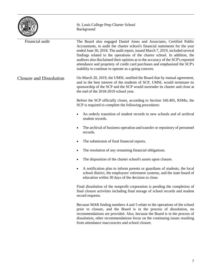|                                | St. Louis College Prep Charter School<br>Background                                                                                                                                                                                                                                                                                                                                                                                                                                                                                          |
|--------------------------------|----------------------------------------------------------------------------------------------------------------------------------------------------------------------------------------------------------------------------------------------------------------------------------------------------------------------------------------------------------------------------------------------------------------------------------------------------------------------------------------------------------------------------------------------|
| Financial audit                | The Board also engaged Daniel Jones and Associates, Certified Public<br>Accountants, to audit the charter school's financial statements for the year<br>ended June 30, 2018. The audit report, issued March 7, 2019, included several<br>findings related to the operations of the charter school. In addition, the<br>auditors also disclaimed their opinion as to the accuracy of the SCP's reported<br>attendance and propriety of credit card purchases and emphasized the SCP's<br>inability to continue to operate as a going concern. |
| <b>Closure and Dissolution</b> | On March 20, 2019, the UMSL notified the Board that by mutual agreement,<br>and in the best interest of the students of SCP, UMSL would terminate its<br>sponsorship of the SCP and the SCP would surrender its charter and close at<br>the end of the 2018-2019 school year.                                                                                                                                                                                                                                                                |
|                                | Before the SCP officially closes, according to Section 160.405, RSMo, the<br>SCP is required to complete the following procedures:                                                                                                                                                                                                                                                                                                                                                                                                           |
|                                | An orderly transition of student records to new schools and of archival<br>student records.                                                                                                                                                                                                                                                                                                                                                                                                                                                  |
|                                | The archival of business operation and transfer or repository of personnel<br>records.                                                                                                                                                                                                                                                                                                                                                                                                                                                       |
|                                | The submission of final financial reports.<br>٠                                                                                                                                                                                                                                                                                                                                                                                                                                                                                              |
|                                | The resolution of any remaining financial obligations.                                                                                                                                                                                                                                                                                                                                                                                                                                                                                       |
|                                | The disposition of the charter school's assets upon closure.                                                                                                                                                                                                                                                                                                                                                                                                                                                                                 |
|                                | A notification plan to inform parents or guardians of students, the local<br>school district, the employees' retirement systems, and the state board of<br>education within 30 days of the decision to close.                                                                                                                                                                                                                                                                                                                                |
|                                | Final dissolution of the nonprofit corporation is pending the completion of<br>final closure activities including final storage of school records and student<br>record requests.                                                                                                                                                                                                                                                                                                                                                            |
|                                | Because MAR finding numbers 4 and 5 relate to the operations of the school<br>prior to closure, and the Board is in the process of dissolution, no<br>recommendations are provided. Also, because the Board is in the process of<br>dissolution, other recommendations focus on the continuing issues resulting<br>from attendance inaccuracies and school closure.                                                                                                                                                                          |

 $\overline{a}$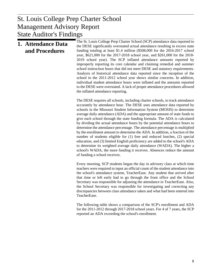## $\mathbf{D}$  anot Management Advisory Report St. Louis College Prep Charter School State Auditor's Findings

| 1. Attendance Data<br>and Procedures | The St. Louis College Prep Charter School (SCP) attendance data reported to<br>the DESE significantly overstated actual attendance resulting in excess state<br>funding totaling at least \$1.4 million (\$508,000 for the 2016-2017 school<br>year, \$621,000 for the 2017-2018 school year, and \$261,000 for the 2018-<br>2019 school year). The SCP inflated attendance amounts reported by<br>improperly reporting its core calendar and claiming remedial and summer<br>school instruction hours that did not meet DESE and statutory requirements.<br>Analysis of historical attendance data reported since the inception of the<br>school in the 2011-2012 school year shows similar concerns. In addition,<br>individual student attendance hours were inflated and the amounts reported<br>to the DESE were overstated. A lack of proper attendance procedures allowed<br>the inflated attendance reporting. |
|--------------------------------------|------------------------------------------------------------------------------------------------------------------------------------------------------------------------------------------------------------------------------------------------------------------------------------------------------------------------------------------------------------------------------------------------------------------------------------------------------------------------------------------------------------------------------------------------------------------------------------------------------------------------------------------------------------------------------------------------------------------------------------------------------------------------------------------------------------------------------------------------------------------------------------------------------------------------|
|                                      | The DESE requires all schools, including charter schools, to track attendance<br>accurately by attendance hour. The DESE uses attendance data reported by<br>schools in the Missouri Student Information System (MOSIS) to determine<br>average daily attendance (ADA) and the appropriate amount of state funds to<br>give each school through the state funding formula. The ADA is calculated<br>by dividing the actual attendance hours by the potential attendance hours to<br>determine the attendance percentage. The attendance percentage is multiplied                                                                                                                                                                                                                                                                                                                                                       |

by the enrollment amount to determine the ADA. In addition, a fraction of the number of students eligible for (1) free and reduced lunches, (2) special education, and (3) limited English proficiency are added to the school's ADA to determine its weighted average daily attendance (WADA). The higher a school's WADA, the more funding it receives. Absences reduce the amount of funding a school receives.

Every morning, SCP students began the day in advisory class at which time teachers were required to input an official count of the student attendance into the school's attendance system, TeacherEase. Any student that arrived after that time or left early had to go through the front office and the School Secretary was responsible for adjusting the attendance in TeacherEase. Also, the School Secretary was responsible for investigating and correcting any discrepancies between class attendance taken and what had been entered into TeacherEase.

The following table shows a comparison of the SCP's enrollment and ADA for the 2011-2012 through 2017-2018 school years. For 4 of 7 years, the SCP reported an ADA exceeding the school's enrollment.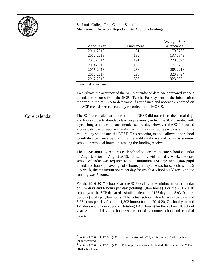

|             |            | <b>Average Daily</b> |
|-------------|------------|----------------------|
| School Year | Enrollment | Attendance           |
| 2011-2012   | 81         | 79.0738              |
| 2012-2013   | 132        | 137.6849             |
| 2013-2014   | 191        | 220.3694             |
| 2014-2015   | 188        | 177.0769             |
| 2015-2016   | 268        | 265.2216             |
| 2016-2017   | 290        | 326.3794             |
| 2017-2018   | 306        | 328.5034             |

Source: dese.mo.gov

To evaluate the accuracy of the SCP's attendance data, we compared various attendance records from the SCP's TeacherEase system to the information reported in the MOSIS to determine if attendance and absences recorded on the SCP records were accurately recorded in the MOSIS.

The SCP core calendar reported to the DESE did not reflect the actual days and hours students attended class. As previously noted, the SCP operated with a year-long schedule and an extended school day. However, the SCP reported a core calendar of approximately the minimum school year days and hours required by statute and the DESE. This reporting method allowed the school to inflate attendance by claiming the additional days and hours as summer school or remedial hours, increasing the funding received. Core calendar

> The DESE annually requires each school to declare its core school calendar in August. Prior to August 2019, for schools with a 5 day week, the core school calendar was required to be a minimum 174 days and 1,044 pupil attendance hours (an average of 6 hours per day). [2](#page-10-0) Also, for schools with a 5 day week, the maximum hours per day for which a school could receive state funding was  $7 \text{ hours.}^3$  $7 \text{ hours.}^3$

> For the 2016-2017 school year, the SCP declared the minimum core calendar of 174 days and 6 hours per day (totaling 1,044 hours). For the 2017-2018 school year the SCP declared a similar calendar of 176 days and 5.9319 hours per day (totaling 1,044 hours). The actual school calendar was 182 days and 8.75 hours per day (totaling 1,592 hours) for the 2016-2017 school year and 179 days and 8 hours per day (totaling 1,432 hours) for the 2017-2018 school year. Additional days and hours were reported as summer school and remedial hours.

<span id="page-10-1"></span><span id="page-10-0"></span><sup>&</sup>lt;sup>2</sup> Section 171.031.1, RSMo (2018). Effective August 2019, a minimum of 174 days is no longer required.

 $3$  Section 171.031.7, RSMo (2018). This requirement was eliminated effective for the 2019-2020 school year.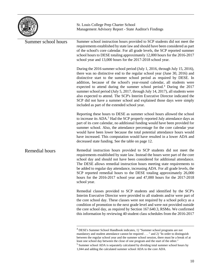

| Summer school hours | Summer school instruction hours provided to SCP students did not meet the<br>requirements established by state law and should have been considered as part<br>of the school's core calendar. For all grade levels, the SCP reported summer<br>school hours to DESE totaling approximately 12,000 hours for the 2016-2017<br>school year and 13,000 hours for the 2017-2018 school year.                                                                                                                                                                                                                                                                                                       |
|---------------------|-----------------------------------------------------------------------------------------------------------------------------------------------------------------------------------------------------------------------------------------------------------------------------------------------------------------------------------------------------------------------------------------------------------------------------------------------------------------------------------------------------------------------------------------------------------------------------------------------------------------------------------------------------------------------------------------------|
|                     | During the 2016 summer school period (July 1, 2016, through July 15, 2016),<br>there was no distinctive end to the regular school year (June 30, 2016) and<br>distinctive start to the summer school period as required by DESE. In<br>addition, because of the school's year-round calendar, all students were<br>expected to attend during the summer school period. <sup>4</sup> During the 2017<br>summer school period (July 5, 2017, through July 14, 2017), all students were<br>also expected to attend. The SCP's Interim Executive Director indicated the<br>SCP did not have a summer school and explained those days were simply<br>included as part of the extended school year. |
|                     | Reporting these hours to DESE as summer school hours allowed the school<br>to increase its ADA. <sup>5</sup> Had the SCP properly reported July attendance days as<br>part of its core calendar, no additional funding would have been provided for<br>summer school. Also, the attendance percentage for the core calendar year<br>would have been lower because the total potential attendance hours would<br>have increased. This computation would have resulted in a lower ADA and<br>decreased state funding. See the table on page 12.                                                                                                                                                 |
| Remedial hours      | Remedial instruction hours provided to SCP students did not meet the<br>requirements established by state law. Instead the hours were part of the core<br>school day and should not have been considered for additional attendance.<br>The DESE allows remedial instruction hours meeting state requirements to<br>be added to regular day attendance, increasing ADA. For all grade levels, the<br>SCP reported remedial hours to the DESE totaling approximately 26,000<br>hours for the 2016-2017 school year and 47,000 hours for the 2017-2018<br>school year.                                                                                                                           |
|                     | Remedial classes provided to SCP students and identified by the SCP's<br>Interim Executive Director were provided to all students and/or were part of<br>the core school day. These classes were not required by a school policy as a<br>condition of promotion to the next grade level and were not provided outside<br>the core school day, as required by Section 167.640.3, RSMo. We confirmed<br>this information by reviewing 40 student class schedules from the 2016-2017                                                                                                                                                                                                             |

<span id="page-11-0"></span> <sup>4</sup> DESE's Summer School Handbook indicates, 1) "Summer school programs are not mandatory and student attendance cannot be required . . . " and 2) "In order to distinguish between the regular school year and the summer school session, there must be a break of at least one school day between the close of one program and the start of the other."

<span id="page-11-1"></span><sup>5</sup> Summer school ADA is separately calculated by dividing total summer school hours by 1,044 and adding the calculated summer school ADA to the core ADA.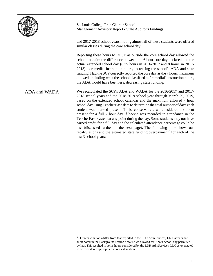

and 2017-2018 school years, noting almost all of these students were offered similar classes during the core school day.

Reporting these hours to DESE as outside the core school day allowed the school to claim the difference between the 6 hour core day declared and the actual extended school day (8.75 hours in 2016-2017 and 8 hours in 2017- 2018) as remedial instruction hours, increasing the school's ADA and state funding. Had the SCP correctly reported the core day as the 7 hours maximum allowed, including what the school classified as "remedial" instruction hours, the ADA would have been less, decreasing state funding.

We recalculated the SCP's ADA and WADA for the 2016-2017 and 2017- 2018 school years and the 2018-2019 school year through March 29, 2019, based on the extended school calendar and the maximum allowed 7 hour school day using TeacherEase data to determine the total number of days each student was marked present. To be conservative, we considered a student present for a full 7 hour day if he/she was recorded in attendance in the TeacherEase system at any point during the day. Some students may not have earned credit for a full day and the calculated attendance percentage could be less (discussed further on the next page). The following table shows our recalculations and the estimated state funding overpayment<sup>[6](#page-12-0)</sup> for each of the last 3 school years: ADA and WADA

<span id="page-12-0"></span> $6$  Our recalculations differ from that reported in the LDR AdmServices, LLC, attendance audit noted in the Background section because we allowed for 7 hour school day permitted by law. This resulted in some hours considered by the LDR AdmServices, LLC as overstated to be considered appropriate in our calculation.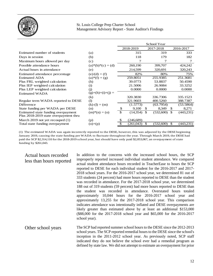

|                                                                              |                     |    |           | School Year     |     |            |
|------------------------------------------------------------------------------|---------------------|----|-----------|-----------------|-----|------------|
|                                                                              |                     |    | 2018-2019 | 2017-2018       |     | 2016-2017  |
| Estimated number of students                                                 | (a)                 |    | 315       | 319             |     | 333        |
| Days in session                                                              | (b)                 |    | 118       | 179             |     | 182        |
| Maximum hours allowed per day                                                | (c)                 |    |           | 7               |     | 7          |
| Possible attendance hours                                                    | $(a)*(b)*(c) = (d)$ |    | 260,190   | 399,707         |     | 424,242    |
| Actual hours in attendance                                                   | (e)                 |    | 214,599   | 320,691         |     | 320,243    |
| Estimated attendance percentage                                              | $(e)/(d) = (f)$     |    | 82%       | 80%             |     | 75%        |
| <b>Estimated ADA</b>                                                         | $(a) * (f) = (g)$   |    | 259.8051  | 255.9385        |     | 251.3681   |
| Plus FRL weighted calculation                                                | (h)                 |    | 39.0773   | 53.8837         |     | 50.4590    |
| Plus IEP weighted calculation                                                | (i)                 |    | 21.5006   | 26.9084         |     | 33.3252    |
| Plus LEP weighted calculation                                                | (i)                 |    | 0.0000    | 0.0000          |     | 0.0000     |
| Estimated WADA                                                               | $(g)+(h)+(i)+(j) =$ |    |           |                 |     |            |
|                                                                              | $\left( k\right)$   |    | 320.3830  | 336.7306        |     | 335.1523   |
| Regular term WADA reported to DESE                                           | (1)                 |    | 321.9603  | 400.5260        |     | 388.7387   |
| Difference                                                                   | $(k)-(l) = (m)$     |    | (1.5773)  | (63.7954)       |     | (53.5864)  |
| State funding per WADA per DESE                                              | (n)                 | \$ | 9,100     | 8,349<br>\$     | \$  | 8,271      |
| Estimated state funding overpayment<br>Plus 2018-2019 state overpayment thru | $(m)*(n) = (o)$     | \$ | (14, 354) | \$<br>(532,600) | \$  | (443,231)  |
| March 2019 not yet recouped (1)                                              | (p)                 | S  | (246,689) |                 |     |            |
| Total state funding overpayment                                              | $(o)+(p)$           |    | (261,043) | \$<br>(532,600) | \$. | (443, 231) |

(1) The estimated WADA was again incorrectly reported to the DESE, however, this was adjusted by the DESE beginning January 2019, causing the state funding per WADA to fluctuate throughout the year. Through March 2019, the DESE had paid the SCP \$2,314,110 for the 2018-2019 school year, but should have only paid \$2,053,067, an overpayment of state funding by \$261,043.

## Actual hours recorded less than hours reported

In addition to the concerns with the increased school hours, the SCP improperly reported increased individual student attendance. We compared actual student attendance hours recorded in TeacherEase to hours the SCP reported to DESE for each individual student for the 2016-2017 and 2017- 2018 school years. For the 2016-2017 school year, we determined 81 out of 333 students (24 percent) had more hours reported to DESE than the student was recorded in attendance. For the 2017-2018 school year, we determined 188 out of 319 students (59 percent) had more hours reported to DESE than the student was recorded in attendance. Overstated hours totaled approximately 10,044 hours for the 2016-2017 school year and approximately 13,255 for the 2017-2018 school year. This comparison indicates attendance was intentionally inflated and DESE overpayments are likely greater than estimated above by at least an additional \$153,000 (\$88,000 for the 2017-2018 school year and \$65,000 for the 2016-2017 school year).

The SCP had reported summer school hours to the DESE since the 2012-2013 school years. The SCP reported remedial hours to the DESE since the school's inception in the 2011-2012 school year. As previously noted, SCP staff indicated they do not believe the school ever had a remedial program as defined by state law. We did not attempt to estimate an overpayment for prior Other school years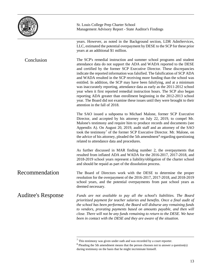|                           | St. Louis College Prep Charter School<br>Management Advisory Report - State Auditor's Findings                                                                                                                                                                                                                                                                                                                                                                                                                                                                                                                                                                                                                                                                                                                                |  |  |
|---------------------------|-------------------------------------------------------------------------------------------------------------------------------------------------------------------------------------------------------------------------------------------------------------------------------------------------------------------------------------------------------------------------------------------------------------------------------------------------------------------------------------------------------------------------------------------------------------------------------------------------------------------------------------------------------------------------------------------------------------------------------------------------------------------------------------------------------------------------------|--|--|
|                           | years. However, as noted in the Background section, LDR AdmServices,<br>LLC, estimated the potential overpayment by DESE to the SCP for these prior<br>years at an additional \$1 million.                                                                                                                                                                                                                                                                                                                                                                                                                                                                                                                                                                                                                                    |  |  |
| Conclusion                | The SCP's remedial instruction and summer school programs and student<br>attendance data do not support the ADA and WADA reported to the DESE<br>and certified by the former SCP Executive Director. These discrepancies<br>indicate the reported information was falsified. The falsification of SCP ADA<br>and WADA resulted in the SCP receiving more funding than the school was<br>entitled. In addition, the SCP may have been falsifying, and at a minimum<br>was inaccurately reporting, attendance data as early as the 2011-2012 school<br>year when it first reported remedial instruction hours. The SCP also began<br>reporting ADA greater than enrollment beginning in the 2012-2013 school<br>year. The Board did not examine these issues until they were brought to their<br>attention in the fall of 2018. |  |  |
|                           | The SAO issued a subpoena to Michael Malone, former SCP Executive<br>Director, and accepted by his attorney on July 22, 2019, to compel Mr.<br>Malone's testimony and require him to produce records and documents (see<br>Appendix A). On August 20, 2019, audit staff and an attorney of the SAO<br>took the testimony <sup>7</sup> of the former SCP Executive Director. Mr. Malone, on<br>the advice of his attorney, pleaded the 5th amendment <sup>8</sup> regarding questioning<br>related to attendance data and procedures.                                                                                                                                                                                                                                                                                          |  |  |
|                           | As further discussed in MAR finding number 2, the overpayments that<br>resulted from inflated ADA and WADA for the 2016-2017, 2017-2018, and<br>2018-2019 school years represent a liability/obligation of the charter school<br>and should be repaid as part of the dissolution process.                                                                                                                                                                                                                                                                                                                                                                                                                                                                                                                                     |  |  |
| Recommendation            | The Board of Directors work with the DESE to determine the proper<br>resolution for the overpayment of the 2016-2017, 2017-2018, and 2018-2019<br>school years, and the potential overpayments from past school years as<br>deemed necessary.                                                                                                                                                                                                                                                                                                                                                                                                                                                                                                                                                                                 |  |  |
| <b>Auditee's Response</b> | Funds are not available to pay all the school's liabilities. The Board<br>prioritized payment for teacher salaries and benefits. Once a final audit of<br>the school has been performed, the Board will disburse any remaining funds<br>to vendors, prorating payments based on amounts payable, and then will<br>close. There will not be any funds remaining to return to the DESE. We have<br>been in contact with the DESE and they are aware of the situation.                                                                                                                                                                                                                                                                                                                                                           |  |  |

<span id="page-14-0"></span> $<sup>7</sup>$  This testimony was given under oath and was recorded by a court reporter.</sup>

<span id="page-14-1"></span> $8$  Pleading the 5th amendment means that the person chooses not to answer a question(s) during testimony on the basis that he might incriminate himself.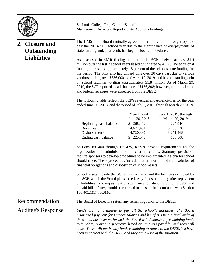

# **2. Closure and Outstanding Liabilities**

St. Louis College Prep Charter School Management Advisory Report - State Auditor's Findings

The UMSL and Board mutually agreed the school could no longer operate past the 2018-2019 school year due to the significance of overpayments of state funding and, as a result, has begun closure procedures.

As discussed in MAR finding number 1, the SCP received at least \$1.4 million over the last 3 school years based on inflated WADA. The additional funding represents approximately 15 percent of the school's state funding for the period. The SCP also had unpaid bills over 30 days past due to various vendors totaling over \$336,000 as of April 10, 2019, and has outstanding debt on school facilities totaling approximately \$1.8 million. As of March 29, 2019, the SCP reported a cash balance of \$166,808; however, additional state and federal revenues were expected from the DESE.

The following table reflects the SCP's revenues and expenditures for the year ended June 30, 2018, and the period of July 1, 2018, through March 29, 2019.

| July 1, 2019, through | Year Ended    |                        |
|-----------------------|---------------|------------------------|
| March 29, 2019        | June 30, 2018 |                        |
| 225,046               | 268,462       | Beginning cash balance |
| 3,193,230             | 4,677,481     | Revenues               |
| 3,251,468             | 4,720,897     | <b>Disbursements</b>   |
| 166,808               | 225,046       | Ending cash balance    |
|                       |               |                        |

Sections 160.400 through 160.425, RSMo, provide requirements for the organization and administration of charter schools. Statutory provisions require sponsors to develop procedures to be implemented if a charter school should close. These procedures include, but are not limited to, resolution of financial obligations and disposition of school assets.

School assets include the SCP's cash on hand and the facilities occupied by the SCP, which the Board plans to sell. Any funds remaining after repayment of liabilities for overpayment of attendance, outstanding building debt, and unpaid bills, if any, should be returned to the state in accordance with Section 160.405.1(17), RSMo.

Recommendation Auditee's Response The Board of Directors return any remaining funds to the DESE.

*Funds are not available to pay all the school's liabilities. The Board prioritized payment for teacher salaries and benefits. Once a final audit of the school has been performed, the Board will disburse any remaining funds to vendors, prorating payments based on amounts payable, and then will close. There will not be any funds remaining to return to the DESE. We have been in contact with the DESE and they are aware of the situation.*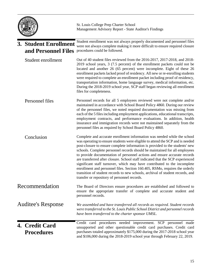|                                              |                                     | St. Louis College Prep Charter School<br>Management Advisory Report - State Auditor's Findings                                                                                                                                                                                                                                                                                                                                                                                                                                                                                                                                                                                                                                                                                       |
|----------------------------------------------|-------------------------------------|--------------------------------------------------------------------------------------------------------------------------------------------------------------------------------------------------------------------------------------------------------------------------------------------------------------------------------------------------------------------------------------------------------------------------------------------------------------------------------------------------------------------------------------------------------------------------------------------------------------------------------------------------------------------------------------------------------------------------------------------------------------------------------------|
| 3. Student Enrollment<br>and Personnel Files |                                     | Student enrollment was not always properly documented and personnel files<br>were not always complete making it more difficult to ensure required closure<br>procedures could be followed.                                                                                                                                                                                                                                                                                                                                                                                                                                                                                                                                                                                           |
|                                              | Student enrollment                  | Out of 40 student files reviewed from the 2016-2017, 2017-2018, and 2018-<br>2019 school years, 3 (7.5 percent) of the enrollment packets could not be<br>located and another 26 (65 percent) were incomplete. Eight of these 26<br>enrollment packets lacked proof of residency. All new or re-enrolling students<br>were required to complete an enrollment packet including proof of residency,<br>transportation information, home language survey, medical information, etc.<br>During the 2018-2019 school year, SCP staff began reviewing all enrollment<br>files for completeness.                                                                                                                                                                                           |
|                                              | Personnel files                     | Personnel records for all 5 employees reviewed were not complete and/or<br>maintained in accordance with School Board Policy 4860. During our review<br>of the personnel files, we noted required documentation was missing from<br>each of the 5 files including employment applications, educational transcripts,<br>employment contracts, and performance evaluations. In addition, health<br>insurance and immigration records were not maintained separately from the<br>personnel files as required by School Board Policy 4860.                                                                                                                                                                                                                                               |
|                                              | Conclusion                          | Complete and accurate enrollment information was needed while the school<br>was operating to ensure students were eligible to attend the SCP and is needed<br>post-closure to ensure complete information is provided to the students' new<br>schools. Complete personnel records should be maintained for all employees<br>to provide documentation of personnel actions and ensure accurate records<br>are transferred after closure. School staff indicated that the SCP experienced<br>significant staff turnover, which may have contributed to the incomplete<br>enrollment and personnel files. Section 160.405, RSMo, requires the orderly<br>transition of student records to new schools, archival of student records, and<br>transfer or repository of personnel records. |
|                                              | Recommendation                      | The Board of Directors ensure procedures are established and followed to<br>ensure the appropriate transfer of complete and accurate student and<br>personnel records.                                                                                                                                                                                                                                                                                                                                                                                                                                                                                                                                                                                                               |
|                                              | <b>Auditee's Response</b>           | We assembled and have transferred all records as required. Student records<br>were transferred to the St. Louis Public School District and personnel records<br>have been transferred to the charter sponsor UMSL.                                                                                                                                                                                                                                                                                                                                                                                                                                                                                                                                                                   |
|                                              | 4. Credit Card<br><b>Procedures</b> | Credit card procedures needed improvement. SCP personnel made<br>unsupported and other questionable credit card purchases. Credit card<br>purchases totaled approximately \$175,000 during the 2017-2018 school year<br>and \$106,000 during the 2018-2019 school year through February 22, 2019.                                                                                                                                                                                                                                                                                                                                                                                                                                                                                    |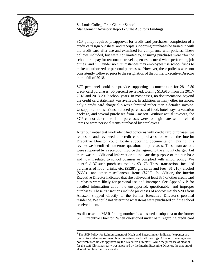

SCP policy required preapproval for credit card purchases, completion of a credit card sign out sheet, and receipts supporting purchases be turned in with the credit card after use and examined for compliance with policies. These policies included, but were not limited to, ensuring purchases were "for the school or to pay for reasonable travel expenses incurred when performing job duties" and ". . . under no circumstances may employees use school funds to make unauthorized or personal purchases." However, these policies were not consistently followed prior to the resignation of the former Executive Director in the fall of 2018.

SCP personnel could not provide supporting documentation for 28 of 50 credit card purchases (56 percent) reviewed, totaling \$13,916, from the 2017- 2018 and 2018-2019 school years. In most cases, no documentation beyond the credit card statement was available. In addition, in many other instances, only a credit card charge slip was submitted rather than a detailed invoice. Unsupported transactions included purchases of food, hotel stays, a vacation package, and several purchases from Amazon. Without actual invoices, the SCP cannot determine if the purchases were for legitimate school-related items or were personal items purchased by employees.

After our initial test work identified concerns with credit card purchases, we requested and reviewed all credit card purchases for which the Interim Executive Director could locate supporting documentation. During this review we identified numerous questionable purchases. These transactions were supported by a receipt or invoice that agreed to the amount charged, but there was no additional information to indicate the purpose of the purchase and how it related to school business or complied with school policy. We identified 37 such purchases totaling \$3,178. These transactions included purchases of food, drinks, etc. (\$538), gift cards and fees (\$1,210), alcohol  $($683)$ ,<sup>[9](#page-17-0)</sup> and other miscellaneous items  $($752)$ . In addition, the Interim Executive Director indicated that she believed at least \$85 of other credit card purchases were likely for personal use and improper. See Appendix B for detailed information about the unsupported, questionable, and improper purchases. These transactions include purchases of approximately \$200 from Amazon shipped directly to the former Executive Director's personal residence. We could not determine what items were purchased or if the school received them.

As discussed in MAR finding number 1, we issued a subpoena to the former SCP Executive Director. When questioned under oath regarding credit card

<span id="page-17-0"></span> $9$  The SCP Policy for Reimbursement of Meals and Entertainment indicates "expenses are limited to student recruitment, board meetings, and staff meetings. Alcoholic beverages are not reimbursed unless approved by the Executive Director." While the purchase of alcohol for the staff Christmas party was approved by the Interim Executive Director, the amount of alcohol purchased is questionable.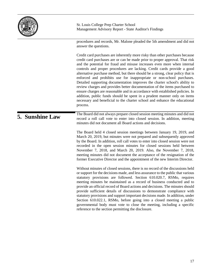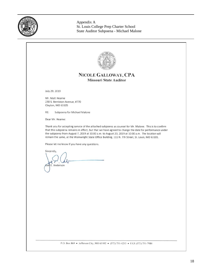

Appendix A St. Louis College Prep Charter School State Auditor Subpoena - Michael Malone

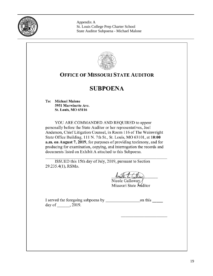

Appendix A St. Louis College Prep Charter School State Auditor Subpoena - Michael Malone

|     | <b>SUBPOENA</b>                                                                                                                                                                                                                                                                                                                                                                                                                                                                                             |
|-----|-------------------------------------------------------------------------------------------------------------------------------------------------------------------------------------------------------------------------------------------------------------------------------------------------------------------------------------------------------------------------------------------------------------------------------------------------------------------------------------------------------------|
| To: | <b>Michael Malone</b>                                                                                                                                                                                                                                                                                                                                                                                                                                                                                       |
|     | 5951 Marwinette Ave.<br><b>St. Louis, MO 63116</b>                                                                                                                                                                                                                                                                                                                                                                                                                                                          |
|     | personally before the State Auditor or her representatives, Joel<br>Anderson, Chief Litigation Counsel, in Room 116 of The Wainwright<br>State Office Building, 111 N. 7th St., St. Louis, MO 63101, at 10:00<br>a.m. on August 7, 2019, for purposes of providing testimony, and for<br>producing for examination, copying, and interrogation the records and<br>documents listed on Exhibit A attached to this Subpoena.<br>ISSUED this 15th day of July, 2019, pursuant to Section<br>29.235.4(1), RSMo. |
|     | Nicole Galloway                                                                                                                                                                                                                                                                                                                                                                                                                                                                                             |
|     | Missouri State Auditor                                                                                                                                                                                                                                                                                                                                                                                                                                                                                      |
|     |                                                                                                                                                                                                                                                                                                                                                                                                                                                                                                             |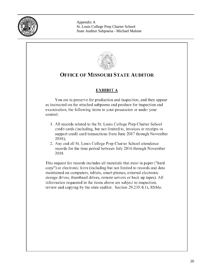

Appendix A St. Louis College Prep Charter School State Auditor Subpoena - Michael Malone

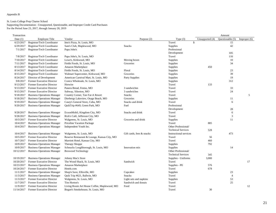#### Appendix B

#### St. Louis College Prep Charter School

Supporting Documentation - Unsupported, Questionable, and Improper Credit Card Purchases For the Period June 23, 2017, through January 20, 2019

| Transaction |                                      |                                              |                           |                               |                 | Amount           |                |
|-------------|--------------------------------------|----------------------------------------------|---------------------------|-------------------------------|-----------------|------------------|----------------|
| Date $(1)$  | <b>Employee Title</b>                | Vendor                                       | Purpose (2)               | Type $(3)$                    | Unsupported (4) | Questionable (5) | Improper $(6)$ |
| 6/23/2017   | Registrar/Tech Coordinator           | Imo's Pizza, St. Louis, MO                   |                           | Travel                        | \$              | 15               |                |
| 6/29/2017   | Registrar/Tech Coordinator           | Sam's Club, Maplewood, MO                    | <b>Snacks</b>             | Supplies                      |                 | 42               |                |
| 7/1/2017    | Registrar/Tech Coordinator           | Papa John's                                  |                           | Professional                  |                 |                  |                |
|             |                                      |                                              |                           | Development                   |                 | 105              |                |
| 7/8/2017    | Registrar/Tech Coordinator           | Papa John's, St. Louis, MO                   |                           | Travel                        |                 | 116              |                |
| 7/10/2017   | Registrar/Tech Coordinator           | Lowe's, Kirkwood, MO                         | Moving boxes              | Supplies                      |                 | 10               |                |
| 7/11/2017   | Registrar/Tech Coordinator           | Fields Foods, St. Louis, MO                  | Groceries                 | Supplies                      |                 | 34               |                |
| 8/13/2017   | Registrar/Tech Coordinator           | Amazon Marketplace                           |                           | Supplies                      | 450             |                  |                |
| 8/14/2017   | Registrar/Tech Coordinator           | Fields Foods, St. Louis, MO                  | Floral                    | Supplies                      |                 | 23               |                |
| 8/15/2017   | Registrar/Tech Coordinator           | Walmart Supercenter, Kirkwood, MO            | Groceries                 | Supplies                      |                 | 39               |                |
| 8/24/2017   | Director of Development              | American Carnival Mart, St. Louis, MO        | Party Supplies            | Supplies                      |                 | 19               |                |
| 9/8/2017    | Former Executive Director            | Costco Wholesale, St. Louis, MO              |                           | Supplies                      |                 | 312              |                |
| 9/13/2017   | Former Executive Director            | Hotwire                                      |                           | Travel                        | 133             |                  |                |
| 9/13/2017   | Former Executive Director            | Panera Bread, Festus, MO                     | 3 sandwiches              | Travel                        |                 | 33               |                |
| 9/15/2017   | Former Executive Director            | Subway, Sikeston, MO                         | 3 sandwiches              | Travel                        |                 | 24               |                |
| 9/18/2017   | <b>Business Operations Manager</b>   | Country Corner, Tan-Tar-A Resort             | <b>Snacks</b>             | Travel                        |                 |                  | 5              |
| 9/18/2017   | <b>Business Operations Manager</b>   | Dierbergs Lakeview, Osage Beach, MO          | Groceries                 | Supplies                      |                 | 11               |                |
| 9/19/2017   | <b>Business Operations Manager</b>   | Casey's General Store, Cuba, MO              | Snacks and drink          | Travel                        |                 | 6                |                |
| 9/20/2017   | <b>Business Operations Manager</b>   | QuikTrip #649, Green Park, MO                | Fuel                      | Professional                  |                 |                  |                |
|             |                                      |                                              |                           | Development                   |                 | 28               |                |
| 9/28/2017   | <b>Business Operations Manager</b>   | ExxonMobil, Kingdom City, MO                 | Snacks and drink          | Travel                        |                 | 6                |                |
| 9/28/2017   | <b>Business Operations Manager</b>   | Rick's Café, Jefferson City, MO              |                           | Travel                        |                 | 3                |                |
| 10/3/2017   | Former Executive Director            | Walgreens, St. Louis, MO                     | Groceries and drink       | Supplies                      |                 | 11               |                |
| 10/4/2017   | <b>Business Operations Manager</b>   | Priceline Vacation Package                   |                           | Travel                        | 885             |                  |                |
| 10/4/2017   | <b>Business Operations Manager</b>   | Independent Youth Inc.                       |                           | Other Professional/           |                 |                  |                |
|             |                                      |                                              |                           | <b>Technical Services</b>     | 528             |                  |                |
| 10/4/2017   | <b>Business Operations Manager</b>   | Walgreens, St. Louis, MO                     | Gift cards, fees & snacks | <b>Instructional services</b> |                 | 473              |                |
| 10/5/2017   | Former Executive Director            | Reserve Restaurant & Lounge, Kansas City, MO |                           | Travel                        | 56              |                  |                |
| 10/7/2017   | Former Executive Director            | Marriott Hotel, Kansas City, MO              |                           | Travel                        | 460             |                  |                |
| 10/9/2017   | <b>Business Operations Manager</b>   | <b>Therapy Shoppe</b>                        |                           | Supplies                      | 792             |                  |                |
| 10/9/2017   | <b>Business Operations Manager</b>   | Schnucks Loughborough, St. Louis, MO         | Innovation mix            | Supplies                      |                 | 14               |                |
| 10/12/2017  | <b>Business Operations Manager</b>   | <b>Boxwood Technology</b>                    |                           | Other Professional/           |                 |                  |                |
|             |                                      |                                              |                           | <b>Technical Services</b>     | 345             |                  |                |
| 10/19/2017  | <b>Business Operations Manager</b>   | Johnny Mac's Store                           |                           | Supplies - Uniforms           | 3,000           |                  |                |
| 10/20/2017  | Former Executive Director            | The Wood Shack, St. Louis, MO                | Sandwich                  | Travel                        |                 |                  | 17             |
| 10/23/2017  | <b>Business Operations Manager</b>   | Amazon Marketplace                           |                           | Supplies - PE                 | 576             |                  |                |
| 10/24/2017  | Former Executive Director            | Hotels.com                                   |                           | Travel                        | 678             |                  |                |
| 11/1/2017   | <b>Business Operations Manager</b>   | Shop'n Save, Ellisville, MO                  | Cupcakes                  | Supplies                      |                 | 23               |                |
| 11/3/2017   | <b>Business Operations Manager</b>   | Quik Trip #621, Ballwin, MO                  | <b>Snacks</b>             | Travel                        |                 | $\overline{4}$   |                |
| 11/3/2017   | Former Executive Director            | Walgreens, St. Louis, MO                     | Light sets and napkins    | Supplies                      |                 | 53               |                |
| 11/7/2017   | Former Executive Director            | Tim Horton's                                 | Sandwich and donuts       | Travel                        |                 | 25               |                |
| 11/9/2017   | Former Executive Director            | Living Room Art House Coffee, Maplewood, MO  | Food                      | Travel                        |                 |                  | 12             |
|             | 11/14/2017 Former Executive Director | Bogart's Smokehouse, St. Louis, MO           |                           | Travel                        | 30              |                  |                |